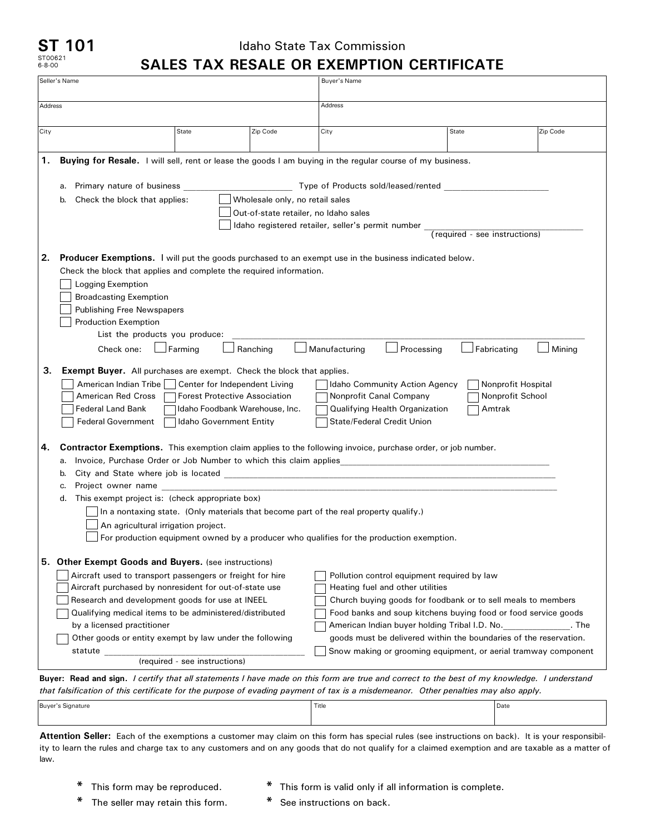## **ST 101** ST00621 6-8-00

## Idaho State Tax Commission **SALES TAX RESALE OR EXEMPTION CERTIFICATE**

|                                                                                                                                                                              | Seller's Name                                                                                                                                                                                                                                                                                                                                                                                                                                                                                                                                                                                                                                                                                                                                                                                                                                                                 |       |                                                                          | Buyer's Name                                                                                                                   |                                                                   |          |  |
|------------------------------------------------------------------------------------------------------------------------------------------------------------------------------|-------------------------------------------------------------------------------------------------------------------------------------------------------------------------------------------------------------------------------------------------------------------------------------------------------------------------------------------------------------------------------------------------------------------------------------------------------------------------------------------------------------------------------------------------------------------------------------------------------------------------------------------------------------------------------------------------------------------------------------------------------------------------------------------------------------------------------------------------------------------------------|-------|--------------------------------------------------------------------------|--------------------------------------------------------------------------------------------------------------------------------|-------------------------------------------------------------------|----------|--|
| Address                                                                                                                                                                      |                                                                                                                                                                                                                                                                                                                                                                                                                                                                                                                                                                                                                                                                                                                                                                                                                                                                               |       |                                                                          | Address                                                                                                                        |                                                                   |          |  |
| City                                                                                                                                                                         |                                                                                                                                                                                                                                                                                                                                                                                                                                                                                                                                                                                                                                                                                                                                                                                                                                                                               | State | Zip Code                                                                 | City                                                                                                                           | State                                                             | Zip Code |  |
| 1.                                                                                                                                                                           | Buying for Resale. I will sell, rent or lease the goods I am buying in the regular course of my business.                                                                                                                                                                                                                                                                                                                                                                                                                                                                                                                                                                                                                                                                                                                                                                     |       |                                                                          |                                                                                                                                |                                                                   |          |  |
| Primary nature of business _<br>Type of Products sold/leased/rented<br>a.                                                                                                    |                                                                                                                                                                                                                                                                                                                                                                                                                                                                                                                                                                                                                                                                                                                                                                                                                                                                               |       |                                                                          |                                                                                                                                |                                                                   |          |  |
|                                                                                                                                                                              | Check the block that applies:<br>b.                                                                                                                                                                                                                                                                                                                                                                                                                                                                                                                                                                                                                                                                                                                                                                                                                                           |       |                                                                          |                                                                                                                                |                                                                   |          |  |
|                                                                                                                                                                              |                                                                                                                                                                                                                                                                                                                                                                                                                                                                                                                                                                                                                                                                                                                                                                                                                                                                               |       | Wholesale only, no retail sales<br>Out-of-state retailer, no Idaho sales |                                                                                                                                |                                                                   |          |  |
|                                                                                                                                                                              |                                                                                                                                                                                                                                                                                                                                                                                                                                                                                                                                                                                                                                                                                                                                                                                                                                                                               |       | Idaho registered retailer, seller's permit number                        |                                                                                                                                |                                                                   |          |  |
|                                                                                                                                                                              |                                                                                                                                                                                                                                                                                                                                                                                                                                                                                                                                                                                                                                                                                                                                                                                                                                                                               |       |                                                                          | (required - see instructions)                                                                                                  |                                                                   |          |  |
| 2.<br>З.                                                                                                                                                                     | <b>Producer Exemptions.</b> I will put the goods purchased to an exempt use in the business indicated below.<br>Check the block that applies and complete the required information.<br>Logging Exemption<br><b>Broadcasting Exemption</b><br><b>Publishing Free Newspapers</b><br><b>Production Exemption</b><br>List the products you produce:<br>$\Box$ Farming<br>Fabricating<br>Ranching<br>Manufacturing<br>Processing<br>Mining<br>Check one:<br><b>Exempt Buyer.</b> All purchases are exempt. Check the block that applies.<br>American Indian Tribe  <br>Center for Independent Living<br>Idaho Community Action Agency<br>Nonprofit Hospital<br>American Red Cross<br><b>Forest Protective Association</b><br>Nonprofit Canal Company<br>Nonprofit School<br><b>Federal Land Bank</b><br>Idaho Foodbank Warehouse, Inc.<br>Qualifying Health Organization<br>Amtrak |       |                                                                          |                                                                                                                                |                                                                   |          |  |
| 4.                                                                                                                                                                           | <b>Federal Government</b><br><b>Idaho Government Entity</b><br><b>State/Federal Credit Union</b><br><b>Contractor Exemptions.</b> This exemption claim applies to the following invoice, purchase order, or job number.<br>Invoice, Purchase Order or Job Number to which this claim applies<br>a.<br>City and State where job is located Learner and the state of the state of the state of the state of the state of the state of the state of the state of the state of the state of the state of the state of the state of the s<br>b.                                                                                                                                                                                                                                                                                                                                    |       |                                                                          |                                                                                                                                |                                                                   |          |  |
|                                                                                                                                                                              |                                                                                                                                                                                                                                                                                                                                                                                                                                                                                                                                                                                                                                                                                                                                                                                                                                                                               |       |                                                                          |                                                                                                                                |                                                                   |          |  |
|                                                                                                                                                                              | Project owner name<br>c.                                                                                                                                                                                                                                                                                                                                                                                                                                                                                                                                                                                                                                                                                                                                                                                                                                                      |       |                                                                          |                                                                                                                                |                                                                   |          |  |
|                                                                                                                                                                              | This exempt project is: (check appropriate box)<br>d.                                                                                                                                                                                                                                                                                                                                                                                                                                                                                                                                                                                                                                                                                                                                                                                                                         |       |                                                                          |                                                                                                                                |                                                                   |          |  |
|                                                                                                                                                                              | In a nontaxing state. (Only materials that become part of the real property qualify.)<br>An agricultural irrigation project.<br>For production equipment owned by a producer who qualifies for the production exemption.                                                                                                                                                                                                                                                                                                                                                                                                                                                                                                                                                                                                                                                      |       |                                                                          |                                                                                                                                |                                                                   |          |  |
|                                                                                                                                                                              |                                                                                                                                                                                                                                                                                                                                                                                                                                                                                                                                                                                                                                                                                                                                                                                                                                                                               |       |                                                                          |                                                                                                                                |                                                                   |          |  |
|                                                                                                                                                                              |                                                                                                                                                                                                                                                                                                                                                                                                                                                                                                                                                                                                                                                                                                                                                                                                                                                                               |       |                                                                          |                                                                                                                                |                                                                   |          |  |
|                                                                                                                                                                              |                                                                                                                                                                                                                                                                                                                                                                                                                                                                                                                                                                                                                                                                                                                                                                                                                                                                               |       |                                                                          |                                                                                                                                |                                                                   |          |  |
|                                                                                                                                                                              | 5. Other Exempt Goods and Buyers. (see instructions)                                                                                                                                                                                                                                                                                                                                                                                                                                                                                                                                                                                                                                                                                                                                                                                                                          |       |                                                                          |                                                                                                                                |                                                                   |          |  |
|                                                                                                                                                                              | Aircraft used to transport passengers or freight for hire                                                                                                                                                                                                                                                                                                                                                                                                                                                                                                                                                                                                                                                                                                                                                                                                                     |       |                                                                          |                                                                                                                                | Pollution control equipment required by law                       |          |  |
|                                                                                                                                                                              | Aircraft purchased by nonresident for out-of-state use                                                                                                                                                                                                                                                                                                                                                                                                                                                                                                                                                                                                                                                                                                                                                                                                                        |       |                                                                          |                                                                                                                                | Heating fuel and other utilities                                  |          |  |
|                                                                                                                                                                              | Research and development goods for use at INEEL                                                                                                                                                                                                                                                                                                                                                                                                                                                                                                                                                                                                                                                                                                                                                                                                                               |       |                                                                          | Church buying goods for foodbank or to sell meals to members<br>Food banks and soup kitchens buying food or food service goods |                                                                   |          |  |
|                                                                                                                                                                              | Qualifying medical items to be administered/distributed                                                                                                                                                                                                                                                                                                                                                                                                                                                                                                                                                                                                                                                                                                                                                                                                                       |       |                                                                          |                                                                                                                                |                                                                   |          |  |
|                                                                                                                                                                              | by a licensed practitioner                                                                                                                                                                                                                                                                                                                                                                                                                                                                                                                                                                                                                                                                                                                                                                                                                                                    |       |                                                                          |                                                                                                                                | American Indian buyer holding Tribal I.D. No.<br>. The            |          |  |
|                                                                                                                                                                              | Other goods or entity exempt by law under the following                                                                                                                                                                                                                                                                                                                                                                                                                                                                                                                                                                                                                                                                                                                                                                                                                       |       |                                                                          |                                                                                                                                | goods must be delivered within the boundaries of the reservation. |          |  |
|                                                                                                                                                                              | statute                                                                                                                                                                                                                                                                                                                                                                                                                                                                                                                                                                                                                                                                                                                                                                                                                                                                       |       |                                                                          |                                                                                                                                | Snow making or grooming equipment, or aerial tramway component    |          |  |
| (required - see instructions)<br>Buver: Read and sign, I certify that all statements I have made on this form are true and correct to the best of my knowledge. I understand |                                                                                                                                                                                                                                                                                                                                                                                                                                                                                                                                                                                                                                                                                                                                                                                                                                                                               |       |                                                                          |                                                                                                                                |                                                                   |          |  |

**Buyer: Read and sign.** *I certify that all statements I have made on this form are true and correct to the best of my knowledge. I understand that falsification of this certificate for the purpose of evading payment of tax is a misdemeanor. Other penalties may also apply.*

| Buyer's Signature | Title | Date<br>$\sim$ $\sim$ |
|-------------------|-------|-----------------------|
|                   |       |                       |

**Attention Seller:** Each of the exemptions a customer may claim on this form has special rules (see instructions on back). It is your responsibility to learn the rules and charge tax to any customers and on any goods that do not qualify for a claimed exemption and are taxable as a matter of law.

- 
- **\*** This form may be reproduced. **\*** This form is valid only if all information is complete.
- **\*** The seller may retain this form. **\*** See instructions on back.